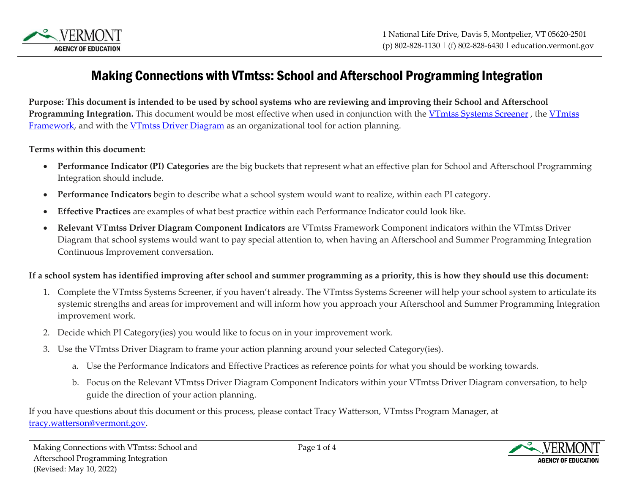

# Making Connections with VTmtss: School and Afterschool Programming Integration

**Purpose: This document is intended to be used by school systems who are reviewing and improving their School and Afterschool**  Programming Integration. This document would be most effective when used in conjunction with the [VTmtss](https://education.vermont.gov/student-support/vermont-multi-tiered-system-of-supports/vtmtss-framework-tools) Systems Screener, the VTmtss [Framework,](https://education.vermont.gov/student-support/vermont-multi-tiered-system-of-supports/vtmtss-framework-tools) and with the VTmtss Driver Diagram as an organizational tool for action planning.

**Terms within this document:**

- **Performance Indicator (PI) Categories** are the big buckets that represent what an effective plan for School and Afterschool Programming Integration should include.
- **Performance Indicators** begin to describe what a school system would want to realize, within each PI category.
- **Effective Practices** are examples of what best practice within each Performance Indicator could look like.
- **Relevant VTmtss Driver Diagram Component Indicators** are VTmtss Framework Component indicators within the VTmtss Driver Diagram that school systems would want to pay special attention to, when having an Afterschool and Summer Programming Integration Continuous Improvement conversation.

#### **If a school system has identified improving after school and summer programming as a priority, this is how they should use this document:**

- 1. Complete the VTmtss Systems Screener, if you haven't already. The VTmtss Systems Screener will help your school system to articulate its systemic strengths and areas for improvement and will inform how you approach your Afterschool and Summer Programming Integration improvement work.
- 2. Decide which PI Category(ies) you would like to focus on in your improvement work.
- 3. Use the VTmtss Driver Diagram to frame your action planning around your selected Category(ies).
	- a. Use the Performance Indicators and Effective Practices as reference points for what you should be working towards.
	- b. Focus on the Relevant VTmtss Driver Diagram Component Indicators within your VTmtss Driver Diagram conversation, to help guide the direction of your action planning.

If you have questions about this document or this process, please contact Tracy Watterson, VTmtss Program Manager, at [tracy.watterson@vermont.gov.](mailto:tracy.watterson@vermont.gov)

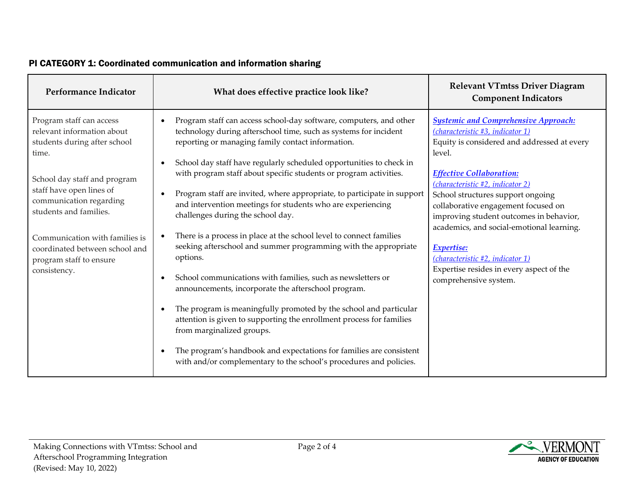| Performance Indicator                                                                                                                                                                                                                                                                                                           | What does effective practice look like?                                                                                                                                                                                                                                                                                                                                                                                                                                                                                                                                                                                                                                                                                                                                                                                                                                                                                                                                                                                                                                                                                                                                       | <b>Relevant VTmtss Driver Diagram</b><br><b>Component Indicators</b>                                                                                                                                                                                                                                                                                                                                                                                                                                       |
|---------------------------------------------------------------------------------------------------------------------------------------------------------------------------------------------------------------------------------------------------------------------------------------------------------------------------------|-------------------------------------------------------------------------------------------------------------------------------------------------------------------------------------------------------------------------------------------------------------------------------------------------------------------------------------------------------------------------------------------------------------------------------------------------------------------------------------------------------------------------------------------------------------------------------------------------------------------------------------------------------------------------------------------------------------------------------------------------------------------------------------------------------------------------------------------------------------------------------------------------------------------------------------------------------------------------------------------------------------------------------------------------------------------------------------------------------------------------------------------------------------------------------|------------------------------------------------------------------------------------------------------------------------------------------------------------------------------------------------------------------------------------------------------------------------------------------------------------------------------------------------------------------------------------------------------------------------------------------------------------------------------------------------------------|
| Program staff can access<br>relevant information about<br>students during after school<br>time.<br>School day staff and program<br>staff have open lines of<br>communication regarding<br>students and families.<br>Communication with families is<br>coordinated between school and<br>program staff to ensure<br>consistency. | Program staff can access school-day software, computers, and other<br>technology during afterschool time, such as systems for incident<br>reporting or managing family contact information.<br>School day staff have regularly scheduled opportunities to check in<br>$\bullet$<br>with program staff about specific students or program activities.<br>Program staff are invited, where appropriate, to participate in support<br>$\bullet$<br>and intervention meetings for students who are experiencing<br>challenges during the school day.<br>There is a process in place at the school level to connect families<br>seeking afterschool and summer programming with the appropriate<br>options.<br>School communications with families, such as newsletters or<br>$\bullet$<br>announcements, incorporate the afterschool program.<br>The program is meaningfully promoted by the school and particular<br>$\bullet$<br>attention is given to supporting the enrollment process for families<br>from marginalized groups.<br>The program's handbook and expectations for families are consistent<br>with and/or complementary to the school's procedures and policies. | <b>Systemic and Comprehensive Approach:</b><br>(characteristic #3, indicator 1)<br>Equity is considered and addressed at every<br>level.<br><b>Effective Collaboration:</b><br>(characteristic #2, indicator 2)<br>School structures support ongoing<br>collaborative engagement focused on<br>improving student outcomes in behavior,<br>academics, and social-emotional learning.<br>Expertise:<br>(characteristic #2, indicator 1)<br>Expertise resides in every aspect of the<br>comprehensive system. |

### PI CATEGORY 1: Coordinated communication and information sharing

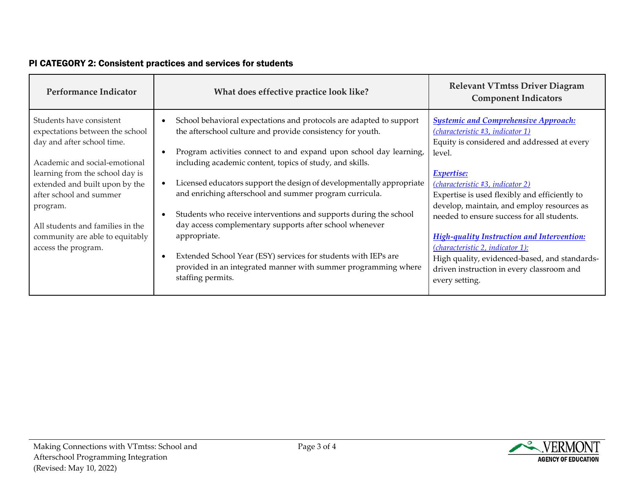| Performance Indicator                                                                                                                                                                                                                                                                                                                | What does effective practice look like?                                                                                                                                                                                                                                                                                                                                                                                                                                                                                                                                                                                                                                                                         | <b>Relevant VTmtss Driver Diagram</b><br><b>Component Indicators</b>                                                                                                                                                                                                                                                                                                                                                                                                                                                                                                            |
|--------------------------------------------------------------------------------------------------------------------------------------------------------------------------------------------------------------------------------------------------------------------------------------------------------------------------------------|-----------------------------------------------------------------------------------------------------------------------------------------------------------------------------------------------------------------------------------------------------------------------------------------------------------------------------------------------------------------------------------------------------------------------------------------------------------------------------------------------------------------------------------------------------------------------------------------------------------------------------------------------------------------------------------------------------------------|---------------------------------------------------------------------------------------------------------------------------------------------------------------------------------------------------------------------------------------------------------------------------------------------------------------------------------------------------------------------------------------------------------------------------------------------------------------------------------------------------------------------------------------------------------------------------------|
| Students have consistent<br>expectations between the school<br>day and after school time.<br>Academic and social-emotional<br>learning from the school day is<br>extended and built upon by the<br>after school and summer<br>program.<br>All students and families in the<br>community are able to equitably<br>access the program. | School behavioral expectations and protocols are adapted to support<br>the afterschool culture and provide consistency for youth.<br>Program activities connect to and expand upon school day learning,<br>including academic content, topics of study, and skills.<br>Licensed educators support the design of developmentally appropriate<br>and enriching afterschool and summer program curricula.<br>Students who receive interventions and supports during the school<br>day access complementary supports after school whenever<br>appropriate.<br>Extended School Year (ESY) services for students with IEPs are<br>provided in an integrated manner with summer programming where<br>staffing permits. | <b>Systemic and Comprehensive Approach:</b><br>(characteristic #3, indicator 1)<br>Equity is considered and addressed at every<br>level.<br><b>Expertise:</b><br>( <i>characteristic</i> #3, <i>indicator</i> 2)<br>Expertise is used flexibly and efficiently to<br>develop, maintain, and employ resources as<br>needed to ensure success for all students.<br><b>High-quality Instruction and Intervention:</b><br>( <i>characteristic 2, indicator 1)</i> :<br>High quality, evidenced-based, and standards-<br>driven instruction in every classroom and<br>every setting. |

#### PI CATEGORY 2: Consistent practices and services for students